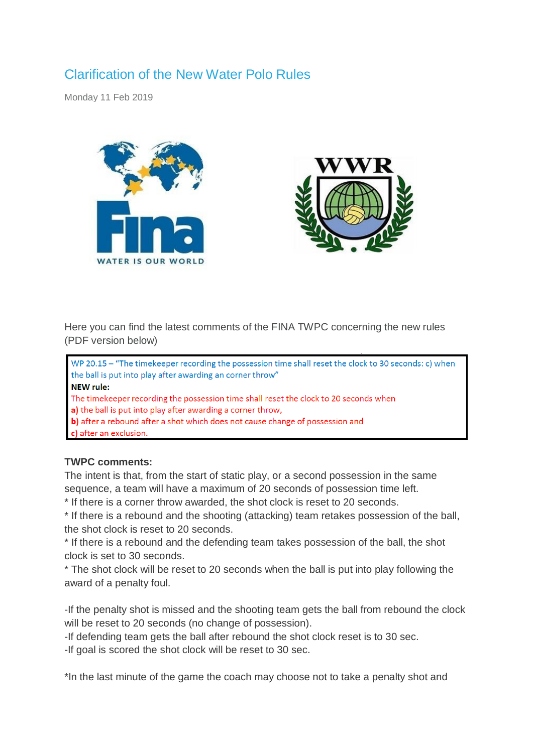# Clarification of the New Water Polo Rules

Monday 11 Feb 2019





Here you can find the latest comments of the FINA TWPC concerning the new rules (PDF version below)

WP 20.15 - "The timekeeper recording the possession time shall reset the clock to 30 seconds: c) when the ball is put into play after awarding an corner throw" **NEW rule:** The timekeeper recording the possession time shall reset the clock to 20 seconds when a) the ball is put into play after awarding a corner throw, b) after a rebound after a shot which does not cause change of possession and c) after an exclusion.

# **TWPC comments:**

The intent is that, from the start of static play, or a second possession in the same sequence, a team will have a maximum of 20 seconds of possession time left.

\* If there is a corner throw awarded, the shot clock is reset to 20 seconds.

\* If there is a rebound and the shooting (attacking) team retakes possession of the ball, the shot clock is reset to 20 seconds.

\* If there is a rebound and the defending team takes possession of the ball, the shot clock is set to 30 seconds.

\* The shot clock will be reset to 20 seconds when the ball is put into play following the award of a penalty foul.

-If the penalty shot is missed and the shooting team gets the ball from rebound the clock will be reset to 20 seconds (no change of possession).

-If defending team gets the ball after rebound the shot clock reset is to 30 sec.

-If goal is scored the shot clock will be reset to 30 sec.

\*In the last minute of the game the coach may choose not to take a penalty shot and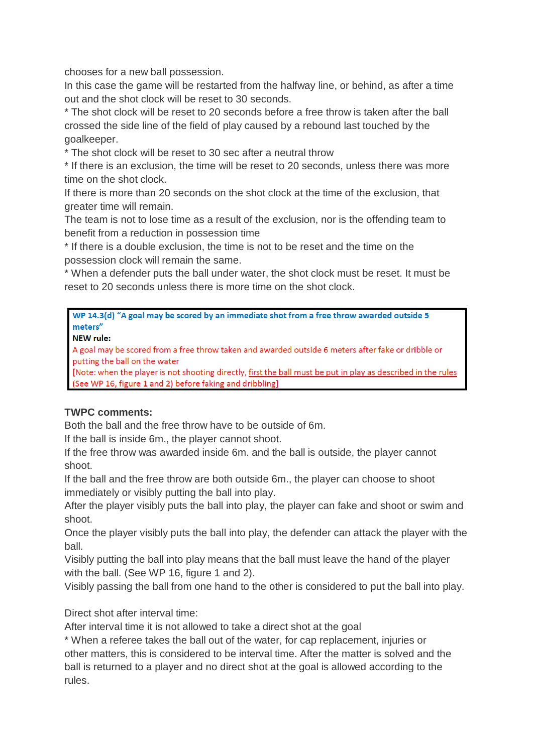chooses for a new ball possession.

In this case the game will be restarted from the halfway line, or behind, as after a time out and the shot clock will be reset to 30 seconds.

\* The shot clock will be reset to 20 seconds before a free throw is taken after the ball crossed the side line of the field of play caused by a rebound last touched by the goalkeeper.

\* The shot clock will be reset to 30 sec after a neutral throw

\* If there is an exclusion, the time will be reset to 20 seconds, unless there was more time on the shot clock.

If there is more than 20 seconds on the shot clock at the time of the exclusion, that greater time will remain.

The team is not to lose time as a result of the exclusion, nor is the offending team to benefit from a reduction in possession time

\* If there is a double exclusion, the time is not to be reset and the time on the possession clock will remain the same.

\* When a defender puts the ball under water, the shot clock must be reset. It must be reset to 20 seconds unless there is more time on the shot clock.

WP 14.3(d) "A goal may be scored by an immediate shot from a free throw awarded outside 5 meters"

**NEW rule:** 

A goal may be scored from a free throw taken and awarded outside 6 meters after fake or dribble or putting the ball on the water

[Note: when the player is not shooting directly, first the ball must be put in play as described in the rules (See WP 16, figure 1 and 2) before faking and dribbling]

# **TWPC comments:**

Both the ball and the free throw have to be outside of 6m.

If the ball is inside 6m., the player cannot shoot.

If the free throw was awarded inside 6m. and the ball is outside, the player cannot shoot.

If the ball and the free throw are both outside 6m., the player can choose to shoot immediately or visibly putting the ball into play.

After the player visibly puts the ball into play, the player can fake and shoot or swim and shoot.

Once the player visibly puts the ball into play, the defender can attack the player with the ball.

Visibly putting the ball into play means that the ball must leave the hand of the player with the ball. (See WP 16, figure 1 and 2).

Visibly passing the ball from one hand to the other is considered to put the ball into play.

Direct shot after interval time:

After interval time it is not allowed to take a direct shot at the goal

\* When a referee takes the ball out of the water, for cap replacement, injuries or other matters, this is considered to be interval time. After the matter is solved and the ball is returned to a player and no direct shot at the goal is allowed according to the rules.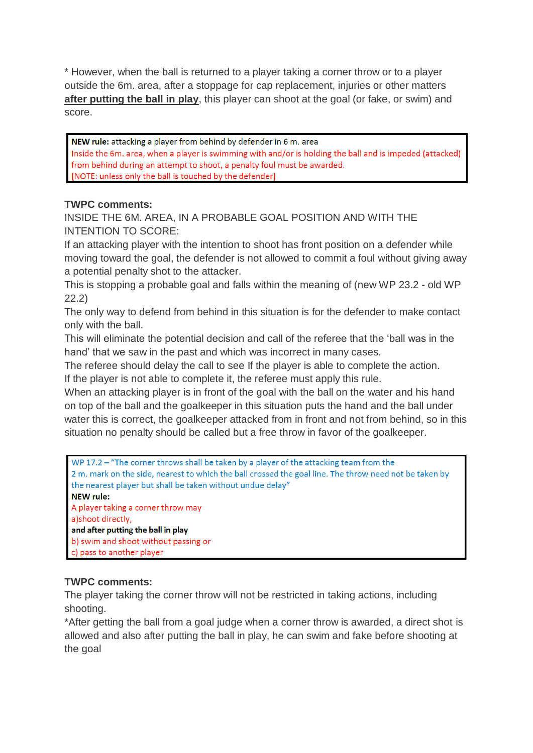\* However, when the ball is returned to a player taking a corner throw or to a player outside the 6m. area, after a stoppage for cap replacement, injuries or other matters **after putting the ball in play**, this player can shoot at the goal (or fake, or swim) and score.

NEW rule: attacking a player from behind by defender in 6 m. area Inside the 6m. area, when a player is swimming with and/or is holding the ball and is impeded (attacked) from behind during an attempt to shoot, a penalty foul must be awarded. [NOTE: unless only the ball is touched by the defender]

# **TWPC comments:**

INSIDE THE 6M. AREA, IN A PROBABLE GOAL POSITION AND WITH THE INTENTION TO SCORE:

If an attacking player with the intention to shoot has front position on a defender while moving toward the goal, the defender is not allowed to commit a foul without giving away a potential penalty shot to the attacker.

This is stopping a probable goal and falls within the meaning of (new WP 23.2 - old WP 22.2)

The only way to defend from behind in this situation is for the defender to make contact only with the ball.

This will eliminate the potential decision and call of the referee that the 'ball was in the hand' that we saw in the past and which was incorrect in many cases.

The referee should delay the call to see If the player is able to complete the action. If the player is not able to complete it, the referee must apply this rule.

When an attacking player is in front of the goal with the ball on the water and his hand on top of the ball and the goalkeeper in this situation puts the hand and the ball under water this is correct, the goalkeeper attacked from in front and not from behind, so in this situation no penalty should be called but a free throw in favor of the goalkeeper.

| WP 17.2 $-$ "The corner throws shall be taken by a player of the attacking team from the               |
|--------------------------------------------------------------------------------------------------------|
| 2 m. mark on the side, nearest to which the ball crossed the goal line. The throw need not be taken by |
| the nearest player but shall be taken without undue delay"                                             |
| <b>NEW rule:</b>                                                                                       |
| A player taking a corner throw may                                                                     |
| a) shoot directly,                                                                                     |
| and after putting the ball in play                                                                     |
| b) swim and shoot without passing or                                                                   |
| c) pass to another player                                                                              |

# **TWPC comments:**

The player taking the corner throw will not be restricted in taking actions, including shooting.

\*After getting the ball from a goal judge when a corner throw is awarded, a direct shot is allowed and also after putting the ball in play, he can swim and fake before shooting at the goal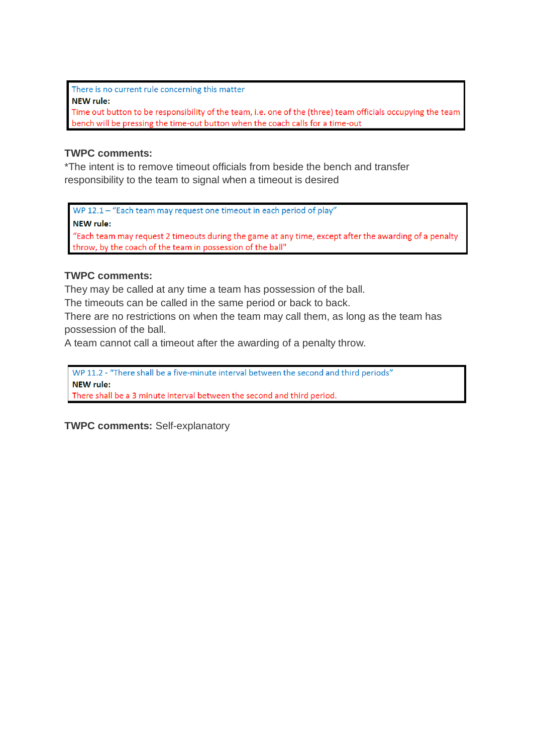There is no current rule concerning this matter **NEW rule:** Time out button to be responsibility of the team, i.e. one of the (three) team officials occupying the team bench will be pressing the time-out button when the coach calls for a time-out

#### **TWPC comments:**

\*The intent is to remove timeout officials from beside the bench and transfer responsibility to the team to signal when a timeout is desired

WP 12.1 - "Each team may request one timeout in each period of play"

**NEW rule:** 

"Each team may request 2 timeouts during the game at any time, except after the awarding of a penalty throw, by the coach of the team in possession of the ball"

#### **TWPC comments:**

They may be called at any time a team has possession of the ball.

The timeouts can be called in the same period or back to back.

There are no restrictions on when the team may call them, as long as the team has possession of the ball.

A team cannot call a timeout after the awarding of a penalty throw.

WP 11.2 - "There shall be a five-minute interval between the second and third periods" **NEW rule:** There shall be a 3 minute interval between the second and third period.

**TWPC comments:** Self-explanatory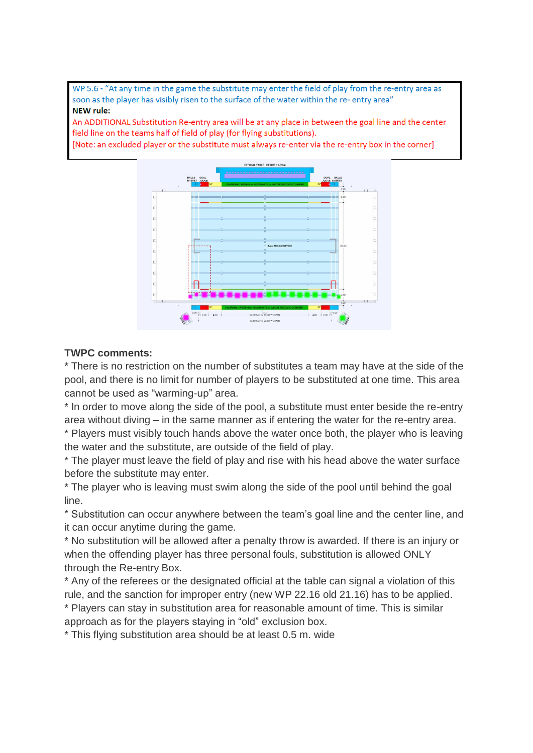WP 5.6 - "At any time in the game the substitute may enter the field of play from the re-entry area as soon as the player has visibly risen to the surface of the water within the re- entry area" **NEW rule:** 

An ADDITIONAL Substitution Re-entry area will be at any place in between the goal line and the center field line on the teams half of field of play (for flying substitutions).

[Note: an excluded player or the substitute must always re-enter via the re-entry box in the corner]



#### **TWPC comments:**

\* There is no restriction on the number of substitutes a team may have at the side of the pool, and there is no limit for number of players to be substituted at one time. This area cannot be used as "warming-up" area.

\* In order to move along the side of the pool, a substitute must enter beside the re-entry area without diving – in the same manner as if entering the water for the re-entry area.

\* Players must visibly touch hands above the water once both, the player who is leaving the water and the substitute, are outside of the field of play.

\* The player must leave the field of play and rise with his head above the water surface before the substitute may enter.

\* The player who is leaving must swim along the side of the pool until behind the goal line.

\* Substitution can occur anywhere between the team's goal line and the center line, and it can occur anytime during the game.

\* No substitution will be allowed after a penalty throw is awarded. If there is an injury or when the offending player has three personal fouls, substitution is allowed ONLY through the Re-entry Box.

\* Any of the referees or the designated official at the table can signal a violation of this rule, and the sanction for improper entry (new WP 22.16 old 21.16) has to be applied. \* Players can stay in substitution area for reasonable amount of time. This is similar approach as for the players staying in "old" exclusion box.

\* This flying substitution area should be at least 0.5 m. wide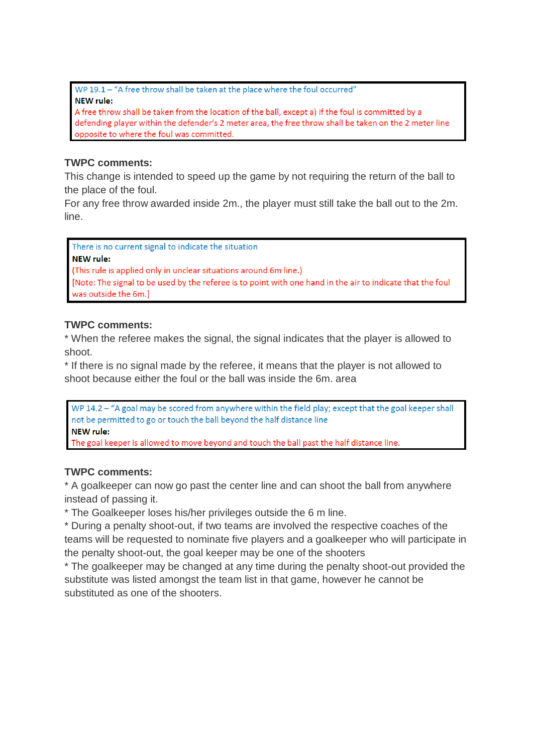WP 19.1 - "A free throw shall be taken at the place where the foul occurred" **NEW rule:** 

A free throw shall be taken from the location of the ball, except a) if the foul is committed by a defending player within the defender's 2 meter area, the free throw shall be taken on the 2 meter line opposite to where the foul was committed.

# **TWPC comments:**

This change is intended to speed up the game by not requiring the return of the ball to the place of the foul.

For any free throw awarded inside 2m., the player must still take the ball out to the 2m. line.

There is no current signal to indicate the situation **NEW rule:** (This rule is applied only in unclear situations around 6m line.) [Note: The signal to be used by the referee is to point with one hand in the air to indicate that the foul was outside the 6m.]

#### **TWPC comments:**

\* When the referee makes the signal, the signal indicates that the player is allowed to shoot.

\* If there is no signal made by the referee, it means that the player is not allowed to shoot because either the foul or the ball was inside the 6m. area

WP 14.2 - "A goal may be scored from anywhere within the field play; except that the goal keeper shall not be permitted to go or touch the ball beyond the half distance line **NEW rule:** 

The goal keeper is allowed to move beyond and touch the ball past the half distance line.

# **TWPC comments:**

\* A goalkeeper can now go past the center line and can shoot the ball from anywhere instead of passing it.

\* The Goalkeeper loses his/her privileges outside the 6 m line.

\* During a penalty shoot-out, if two teams are involved the respective coaches of the teams will be requested to nominate five players and a goalkeeper who will participate in the penalty shoot-out, the goal keeper may be one of the shooters

\* The goalkeeper may be changed at any time during the penalty shoot-out provided the substitute was listed amongst the team list in that game, however he cannot be substituted as one of the shooters.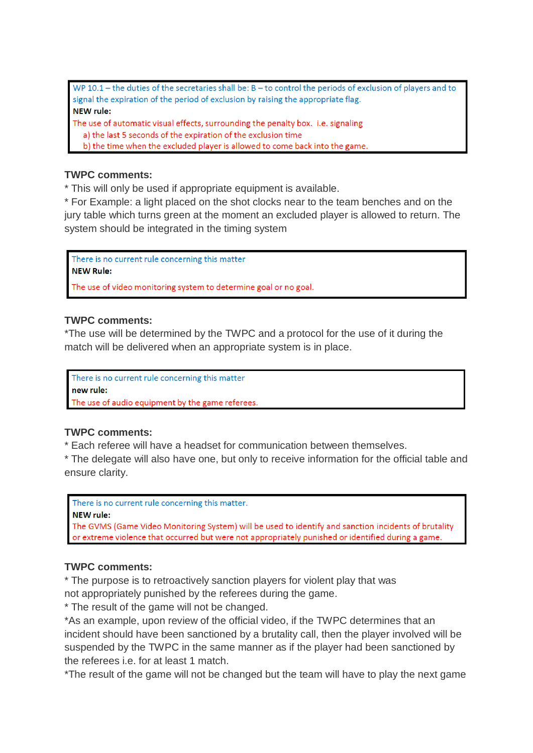WP 10.1 - the duties of the secretaries shall be:  $B -$  to control the periods of exclusion of players and to signal the expiration of the period of exclusion by raising the appropriate flag. **NEW rule:** 

The use of automatic visual effects, surrounding the penalty box. i.e. signaling a) the last 5 seconds of the expiration of the exclusion time

b) the time when the excluded player is allowed to come back into the game.

#### **TWPC comments:**

\* This will only be used if appropriate equipment is available.

\* For Example: a light placed on the shot clocks near to the team benches and on the jury table which turns green at the moment an excluded player is allowed to return. The system should be integrated in the timing system

There is no current rule concerning this matter **NEW Rule:** 

The use of video monitoring system to determine goal or no goal.

#### **TWPC comments:**

\*The use will be determined by the TWPC and a protocol for the use of it during the match will be delivered when an appropriate system is in place.

There is no current rule concerning this matter new rule: The use of audio equipment by the game referees.

# **TWPC comments:**

\* Each referee will have a headset for communication between themselves.

\* The delegate will also have one, but only to receive information for the official table and ensure clarity.

There is no current rule concerning this matter.

#### **NEW rule:**

The GVMS (Game Video Monitoring System) will be used to identify and sanction incidents of brutality or extreme violence that occurred but were not appropriately punished or identified during a game.

# **TWPC comments:**

\* The purpose is to retroactively sanction players for violent play that was not appropriately punished by the referees during the game.

\* The result of the game will not be changed.

\*As an example, upon review of the official video, if the TWPC determines that an incident should have been sanctioned by a brutality call, then the player involved will be suspended by the TWPC in the same manner as if the player had been sanctioned by the referees i.e. for at least 1 match.

\*The result of the game will not be changed but the team will have to play the next game